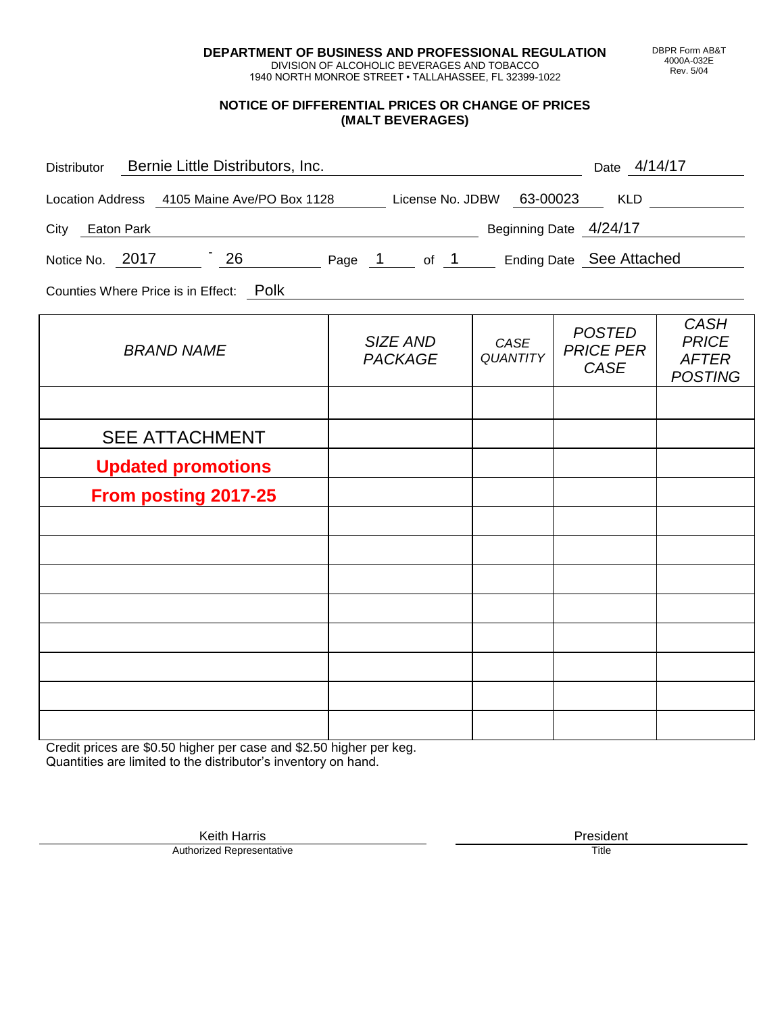**DEPARTMENT OF BUSINESS AND PROFESSIONAL REGULATION** DIVISION OF ALCOHOLIC BEVERAGES AND TOBACCO

1940 NORTH MONROE STREET • TALLAHASSEE, FL 32399-1022

#### **NOTICE OF DIFFERENTIAL PRICES OR CHANGE OF PRICES (MALT BEVERAGES)**

| Distributor Bernie Little Distributors, Inc.                              |                            |                  | Date 4/14/17                                     |                                                               |
|---------------------------------------------------------------------------|----------------------------|------------------|--------------------------------------------------|---------------------------------------------------------------|
| Location Address 4105 Maine Ave/PO Box 1128 License No. JDBW 63-00023 KLD |                            |                  |                                                  |                                                               |
| Beginning Date 4/24/17<br>City Eaton Park                                 |                            |                  |                                                  |                                                               |
| Notice No. 2017 26 Page 1 of 1 Ending Date See Attached                   |                            |                  |                                                  |                                                               |
| Counties Where Price is in Effect: Polk                                   |                            |                  |                                                  |                                                               |
| <b>BRAND NAME</b>                                                         | SIZE AND<br><b>PACKAGE</b> | CASE<br>QUANTITY | <b>POSTED</b><br><b>PRICE PER</b><br><b>CASE</b> | <b>CASH</b><br><b>PRICE</b><br><b>AFTER</b><br><b>POSTING</b> |
|                                                                           |                            |                  |                                                  |                                                               |
| <b>SEE ATTACHMENT</b>                                                     |                            |                  |                                                  |                                                               |
| <b>Updated promotions</b>                                                 |                            |                  |                                                  |                                                               |
| From posting 2017-25                                                      |                            |                  |                                                  |                                                               |
|                                                                           |                            |                  |                                                  |                                                               |
|                                                                           |                            |                  |                                                  |                                                               |
|                                                                           |                            |                  |                                                  |                                                               |
|                                                                           |                            |                  |                                                  |                                                               |
|                                                                           |                            |                  |                                                  |                                                               |
|                                                                           |                            |                  |                                                  |                                                               |
|                                                                           |                            |                  |                                                  |                                                               |

Credit prices are \$0.50 higher per case and \$2.50 higher per keg. Quantities are limited to the distributor's inventory on hand.

> Keith Harris **President** President **President** President **President** President **President** Authorized Representative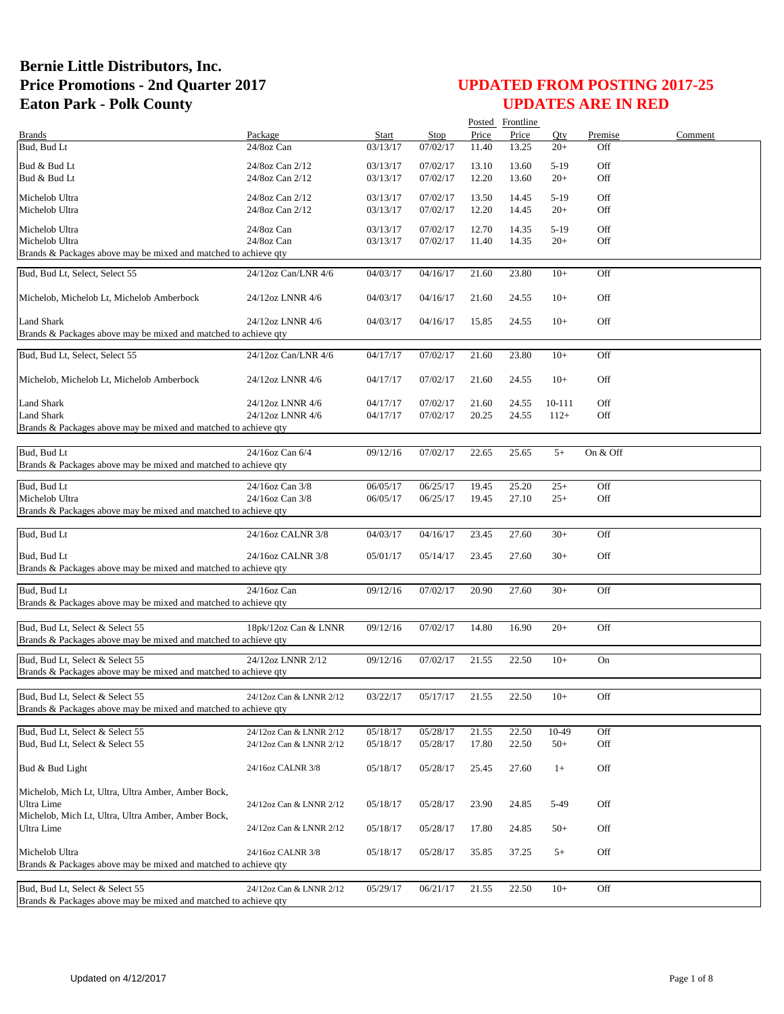|                                                                 |                                      |                      |                      |                | Posted Frontline |                  |            |         |
|-----------------------------------------------------------------|--------------------------------------|----------------------|----------------------|----------------|------------------|------------------|------------|---------|
| <b>Brands</b>                                                   | Package                              | Start                | <b>Stop</b>          | Price          | Price            | Oty              | Premise    | Comment |
| Bud, Bud Lt                                                     | 24/8oz Can                           | 03/13/17             | 07/02/17             | 11.40          | 13.25            | $20+$            | Off        |         |
| Bud & Bud Lt                                                    | 24/8oz Can 2/12                      | 03/13/17             | 07/02/17             | 13.10          | 13.60            | $5-19$           | Off        |         |
| Bud & Bud Lt                                                    | 24/8oz Can 2/12                      | 03/13/17             | 07/02/17             | 12.20          | 13.60            | $20+$            | Off        |         |
|                                                                 |                                      |                      |                      |                |                  |                  |            |         |
| Michelob Ultra                                                  | 24/8oz Can 2/12                      | 03/13/17             | 07/02/17             | 13.50          | 14.45            | $5-19$           | Off        |         |
| Michelob Ultra                                                  | 24/8oz Can 2/12                      | 03/13/17             | 07/02/17             | 12.20          | 14.45            | $20+$            | Off        |         |
| Michelob Ultra                                                  | 24/8oz Can                           | 03/13/17             | 07/02/17             | 12.70          | 14.35            | $5-19$           | Off        |         |
| Michelob Ultra                                                  | 24/8oz Can                           | 03/13/17             | 07/02/17             | 11.40          | 14.35            | $20+$            | Off        |         |
| Brands & Packages above may be mixed and matched to achieve qty |                                      |                      |                      |                |                  |                  |            |         |
| Bud, Bud Lt, Select, Select 55                                  | 24/12oz Can/LNR 4/6                  | 04/03/17             | 04/16/17             | 21.60          | 23.80            | $10+$            | Off        |         |
|                                                                 |                                      |                      |                      |                |                  |                  |            |         |
| Michelob, Michelob Lt, Michelob Amberbock                       | 24/12oz LNNR 4/6                     | 04/03/17             | 04/16/17             | 21.60          | 24.55            | $10+$            | Off        |         |
|                                                                 |                                      |                      |                      |                |                  |                  |            |         |
| Land Shark                                                      | 24/12oz LNNR 4/6                     | 04/03/17             | 04/16/17             | 15.85          | 24.55            | $10+$            | Off        |         |
| Brands & Packages above may be mixed and matched to achieve qty |                                      |                      |                      |                |                  |                  |            |         |
|                                                                 |                                      |                      |                      |                |                  |                  |            |         |
| Bud, Bud Lt, Select, Select 55                                  | 24/12oz Can/LNR 4/6                  | 04/17/17             | 07/02/17             | 21.60          | 23.80            | $10+$            | Off        |         |
|                                                                 |                                      |                      |                      |                |                  |                  |            |         |
| Michelob, Michelob Lt, Michelob Amberbock                       | 24/12oz LNNR 4/6                     | 04/17/17             | 07/02/17             | 21.60          | 24.55            | $10+$            | Off        |         |
| <b>Land Shark</b>                                               |                                      |                      |                      |                |                  |                  |            |         |
| <b>Land Shark</b>                                               | 24/12oz LNNR 4/6<br>24/12oz LNNR 4/6 | 04/17/17<br>04/17/17 | 07/02/17<br>07/02/17 | 21.60<br>20.25 | 24.55<br>24.55   | 10-111<br>$112+$ | Off<br>Off |         |
| Brands & Packages above may be mixed and matched to achieve qty |                                      |                      |                      |                |                  |                  |            |         |
|                                                                 |                                      |                      |                      |                |                  |                  |            |         |
| Bud, Bud Lt                                                     | 24/16oz Can 6/4                      | 09/12/16             | 07/02/17             | 22.65          | 25.65            | $5+$             | On & Off   |         |
| Brands & Packages above may be mixed and matched to achieve qty |                                      |                      |                      |                |                  |                  |            |         |
|                                                                 |                                      |                      |                      |                |                  |                  |            |         |
| Bud, Bud Lt                                                     | $\overline{24/16}$ oz Can 3/8        | 06/05/17             | 06/25/17             | 19.45          | 25.20            | $25+$            | Off        |         |
| Michelob Ultra                                                  | 24/16oz Can 3/8                      | 06/05/17             | 06/25/17             | 19.45          | 27.10            | $25+$            | Off        |         |
| Brands & Packages above may be mixed and matched to achieve qty |                                      |                      |                      |                |                  |                  |            |         |
|                                                                 |                                      |                      |                      |                |                  |                  |            |         |
| Bud, Bud Lt                                                     | 24/16oz CALNR 3/8                    | 04/03/17             | 04/16/17             | 23.45          | 27.60            | $30+$            | Off        |         |
| Bud, Bud Lt                                                     | 24/16oz CALNR 3/8                    | 05/01/17             | 05/14/17             | 23.45          | 27.60            | $30+$            | Off        |         |
| Brands & Packages above may be mixed and matched to achieve qty |                                      |                      |                      |                |                  |                  |            |         |
|                                                                 |                                      |                      |                      |                |                  |                  |            |         |
| Bud, Bud Lt                                                     | 24/16oz Can                          | 09/12/16             | 07/02/17             | 20.90          | 27.60            | $30+$            | Off        |         |
| Brands & Packages above may be mixed and matched to achieve qty |                                      |                      |                      |                |                  |                  |            |         |
|                                                                 |                                      |                      |                      |                |                  |                  |            |         |
| Bud, Bud Lt, Select & Select 55                                 | 18pk/12oz Can & LNNR                 | 09/12/16             | 07/02/17             | 14.80          | 16.90            | $20+$            | Off        |         |
| Brands & Packages above may be mixed and matched to achieve qty |                                      |                      |                      |                |                  |                  |            |         |
| Bud, Bud Lt, Select & Select 55                                 | 24/12oz LNNR 2/12                    | 09/12/16             | 07/02/17             | 21.55          | 22.50            | $10+$            | On         |         |
| Brands & Packages above may be mixed and matched to achieve qty |                                      |                      |                      |                |                  |                  |            |         |
|                                                                 |                                      |                      |                      |                |                  |                  |            |         |
| Bud, Bud Lt, Select & Select 55                                 | 24/12oz Can & LNNR 2/12              | 03/22/17             | 05/17/17             | 21.55          | 22.50            | $10+$            | Off        |         |
| Brands & Packages above may be mixed and matched to achieve qty |                                      |                      |                      |                |                  |                  |            |         |
|                                                                 |                                      |                      |                      |                |                  |                  |            |         |
| Bud, Bud Lt, Select & Select 55                                 | 24/12oz Can & LNNR 2/12              | 05/18/17             | 05/28/17             | 21.55          | 22.50            | 10-49            | Off        |         |
| Bud, Bud Lt, Select & Select 55                                 | 24/12oz Can & LNNR 2/12              | 05/18/17             | 05/28/17             | 17.80          | 22.50            | $50+$            | Off        |         |
|                                                                 |                                      |                      |                      |                |                  |                  |            |         |
| Bud & Bud Light                                                 | 24/16oz CALNR 3/8                    | 05/18/17             | 05/28/17             | 25.45          | 27.60            | $1+$             | Off        |         |
|                                                                 |                                      |                      |                      |                |                  |                  |            |         |
| Michelob, Mich Lt, Ultra, Ultra Amber, Amber Bock,              |                                      |                      |                      |                |                  |                  |            |         |
| Ultra Lime                                                      | 24/12oz Can & LNNR 2/12              | 05/18/17             | 05/28/17             | 23.90          | 24.85            | 5-49             | Off        |         |
| Michelob, Mich Lt, Ultra, Ultra Amber, Amber Bock,              |                                      |                      |                      |                |                  |                  |            |         |
| Ultra Lime                                                      | 24/12oz Can & LNNR 2/12              | 05/18/17             | 05/28/17             | 17.80          | 24.85            | $50+$            | Off        |         |
| Michelob Ultra                                                  | 24/16oz CALNR 3/8                    | 05/18/17             | 05/28/17             | 35.85          | 37.25            | $5+$             | Off        |         |
| Brands & Packages above may be mixed and matched to achieve qty |                                      |                      |                      |                |                  |                  |            |         |
|                                                                 |                                      |                      |                      |                |                  |                  |            |         |
| Bud, Bud Lt, Select & Select 55                                 | 24/12oz Can & LNNR 2/12              | 05/29/17             | 06/21/17             | 21.55          | 22.50            | $10+$            | Off        |         |
| Brands & Packages above may be mixed and matched to achieve qty |                                      |                      |                      |                |                  |                  |            |         |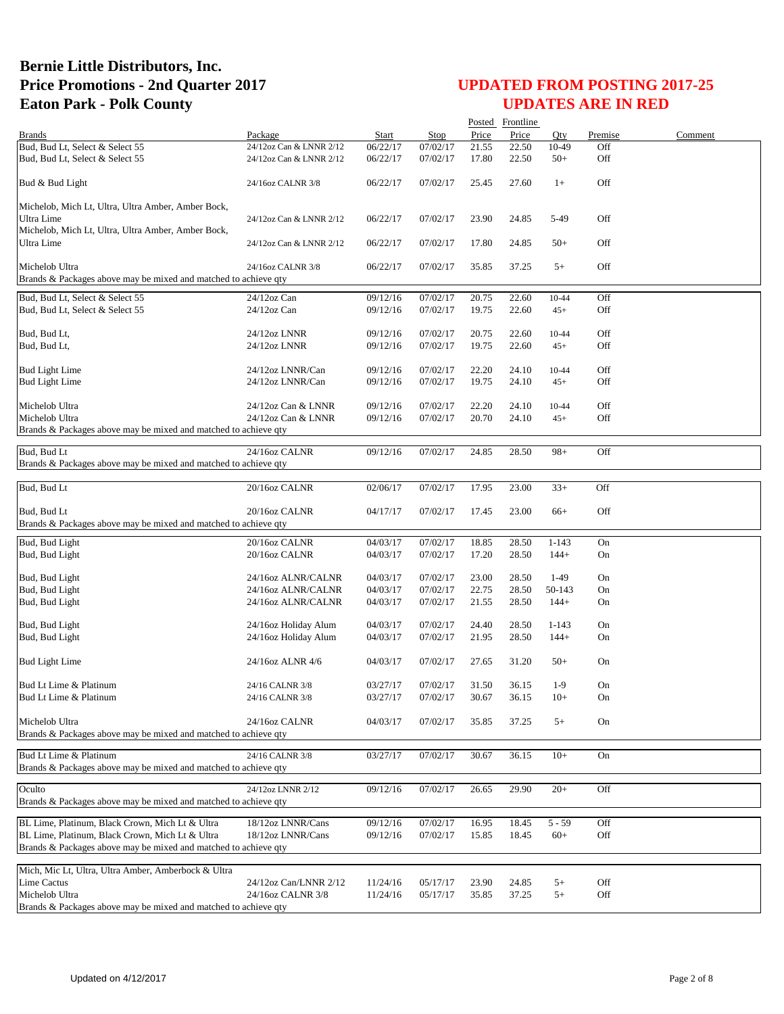|                                                                           |                         |          |          |       | Posted Frontline |           |         |         |
|---------------------------------------------------------------------------|-------------------------|----------|----------|-------|------------------|-----------|---------|---------|
| <b>Brands</b>                                                             | Package                 | Start    | Stop     | Price | Price            | Oty       | Premise | Comment |
| Bud, Bud Lt, Select & Select 55                                           | 24/12oz Can & LNNR 2/12 | 06/22/17 | 07/02/17 | 21.55 | 22.50            | 10-49     | Off     |         |
| Bud, Bud Lt, Select & Select 55                                           | 24/12oz Can & LNNR 2/12 | 06/22/17 | 07/02/17 | 17.80 | 22.50            | $50+$     | Off     |         |
| Bud & Bud Light                                                           | 24/16oz CALNR 3/8       | 06/22/17 | 07/02/17 | 25.45 | 27.60            | $1+$      | Off     |         |
| Michelob, Mich Lt, Ultra, Ultra Amber, Amber Bock,                        |                         |          |          |       |                  |           |         |         |
| Ultra Lime                                                                | 24/12oz Can & LNNR 2/12 | 06/22/17 | 07/02/17 | 23.90 | 24.85            | 5-49      | Off     |         |
| Michelob, Mich Lt, Ultra, Ultra Amber, Amber Bock,                        |                         |          |          |       |                  |           |         |         |
| Ultra Lime                                                                | 24/12oz Can & LNNR 2/12 | 06/22/17 | 07/02/17 | 17.80 | 24.85            | $50+$     | Off     |         |
|                                                                           |                         |          |          |       |                  |           |         |         |
| Michelob Ultra                                                            | 24/16oz CALNR 3/8       | 06/22/17 | 07/02/17 | 35.85 | 37.25            | $5+$      | Off     |         |
| Brands & Packages above may be mixed and matched to achieve qty           |                         |          |          |       |                  |           |         |         |
| Bud, Bud Lt, Select & Select 55                                           | 24/12oz Can             | 09/12/16 | 07/02/17 | 20.75 | 22.60            | $10 - 44$ | Off     |         |
| Bud, Bud Lt, Select & Select 55                                           | 24/12oz Can             | 09/12/16 | 07/02/17 | 19.75 | 22.60            | $45+$     | Off     |         |
|                                                                           |                         |          |          |       |                  |           |         |         |
| Bud, Bud Lt,                                                              | 24/12oz LNNR            | 09/12/16 | 07/02/17 | 20.75 | 22.60            | 10-44     | Off     |         |
| Bud, Bud Lt,                                                              | 24/12oz LNNR            | 09/12/16 | 07/02/17 | 19.75 | 22.60            | $45+$     | Off     |         |
| <b>Bud Light Lime</b>                                                     | 24/12oz LNNR/Can        | 09/12/16 | 07/02/17 | 22.20 | 24.10            | 10-44     | Off     |         |
| <b>Bud Light Lime</b>                                                     | 24/12oz LNNR/Can        | 09/12/16 | 07/02/17 | 19.75 | 24.10            | $45+$     | Off     |         |
|                                                                           |                         |          |          |       |                  |           |         |         |
| Michelob Ultra                                                            | 24/12oz Can & LNNR      | 09/12/16 | 07/02/17 | 22.20 | 24.10            | 10-44     | Off     |         |
| Michelob Ultra                                                            | 24/12oz Can & LNNR      | 09/12/16 | 07/02/17 | 20.70 | 24.10            | $45+$     | Off     |         |
| Brands & Packages above may be mixed and matched to achieve qty           |                         |          |          |       |                  |           |         |         |
| Bud, Bud Lt                                                               | 24/16oz CALNR           | 09/12/16 |          | 24.85 | 28.50            | $98+$     | Off     |         |
| Brands & Packages above may be mixed and matched to achieve qty           |                         |          | 07/02/17 |       |                  |           |         |         |
|                                                                           |                         |          |          |       |                  |           |         |         |
| Bud, Bud Lt                                                               | 20/16oz CALNR           | 02/06/17 | 07/02/17 | 17.95 | 23.00            | $33+$     | Off     |         |
|                                                                           |                         |          |          |       |                  |           |         |         |
| Bud, Bud Lt                                                               | 20/16oz CALNR           | 04/17/17 | 07/02/17 | 17.45 | 23.00            | $66+$     | Off     |         |
| Brands & Packages above may be mixed and matched to achieve qty           |                         |          |          |       |                  |           |         |         |
| Bud, Bud Light                                                            | 20/16oz CALNR           | 04/03/17 | 07/02/17 | 18.85 | 28.50            | $1 - 143$ | On      |         |
| Bud, Bud Light                                                            | 20/16oz CALNR           | 04/03/17 | 07/02/17 | 17.20 | 28.50            | $144+$    | On      |         |
|                                                                           |                         |          |          |       |                  |           |         |         |
| Bud, Bud Light                                                            | 24/16oz ALNR/CALNR      | 04/03/17 | 07/02/17 | 23.00 | 28.50            | $1-49$    | On      |         |
| Bud, Bud Light                                                            | 24/16oz ALNR/CALNR      | 04/03/17 | 07/02/17 | 22.75 | 28.50            | 50-143    | On      |         |
| Bud, Bud Light                                                            | 24/16oz ALNR/CALNR      | 04/03/17 | 07/02/17 | 21.55 | 28.50            | $144+$    | On      |         |
| Bud, Bud Light                                                            | 24/16oz Holiday Alum    | 04/03/17 | 07/02/17 | 24.40 | 28.50            | $1 - 143$ | On      |         |
| Bud, Bud Light                                                            | 24/16oz Holiday Alum    | 04/03/17 | 07/02/17 | 21.95 | 28.50            | $144+$    | On      |         |
|                                                                           |                         |          |          |       |                  |           |         |         |
| <b>Bud Light Lime</b>                                                     | 24/16oz ALNR 4/6        | 04/03/17 | 07/02/17 | 27.65 | 31.20            | $50+$     | On      |         |
|                                                                           |                         |          |          |       |                  |           |         |         |
| Bud Lt Lime & Platinum                                                    | 24/16 CALNR 3/8         | 03/27/17 | 07/02/17 | 31.50 | 36.15            | $1-9$     | On      |         |
| Bud Lt Lime & Platinum                                                    | 24/16 CALNR 3/8         | 03/27/17 | 07/02/17 | 30.67 | 36.15            | $10+$     | On      |         |
|                                                                           |                         |          |          |       |                  |           |         |         |
| Michelob Ultra                                                            | 24/16oz CALNR           | 04/03/17 | 07/02/17 | 35.85 | 37.25            | $5+$      | On      |         |
| Brands & Packages above may be mixed and matched to achieve qty           |                         |          |          |       |                  |           |         |         |
| Bud Lt Lime & Platinum                                                    | 24/16 CALNR 3/8         | 03/27/17 | 07/02/17 | 30.67 | 36.15            | $10+$     | On      |         |
| Brands & Packages above may be mixed and matched to achieve gty           |                         |          |          |       |                  |           |         |         |
|                                                                           |                         |          |          |       |                  |           |         |         |
| Oculto<br>Brands & Packages above may be mixed and matched to achieve gty | 24/12oz LNNR 2/12       | 09/12/16 | 07/02/17 | 26.65 | 29.90            | $20+$     | Off     |         |
|                                                                           |                         |          |          |       |                  |           |         |         |
| BL Lime, Platinum, Black Crown, Mich Lt & Ultra                           | 18/12oz LNNR/Cans       | 09/12/16 | 07/02/17 | 16.95 | 18.45            | $5 - 59$  | Off     |         |
| BL Lime, Platinum, Black Crown, Mich Lt & Ultra                           | 18/12oz LNNR/Cans       | 09/12/16 | 07/02/17 | 15.85 | 18.45            | $60+$     | Off     |         |
| Brands & Packages above may be mixed and matched to achieve qty           |                         |          |          |       |                  |           |         |         |
|                                                                           |                         |          |          |       |                  |           |         |         |
| Mich, Mic Lt, Ultra, Ultra Amber, Amberbock & Ultra                       |                         |          |          |       |                  |           |         |         |
| Lime Cactus                                                               | 24/12oz Can/LNNR 2/12   | 11/24/16 | 05/17/17 | 23.90 | 24.85            | $5+$      | Off     |         |
| Michelob Ultra                                                            | 24/16oz CALNR 3/8       | 11/24/16 | 05/17/17 | 35.85 | 37.25            | $5+$      | Off     |         |
| Brands & Packages above may be mixed and matched to achieve qty           |                         |          |          |       |                  |           |         |         |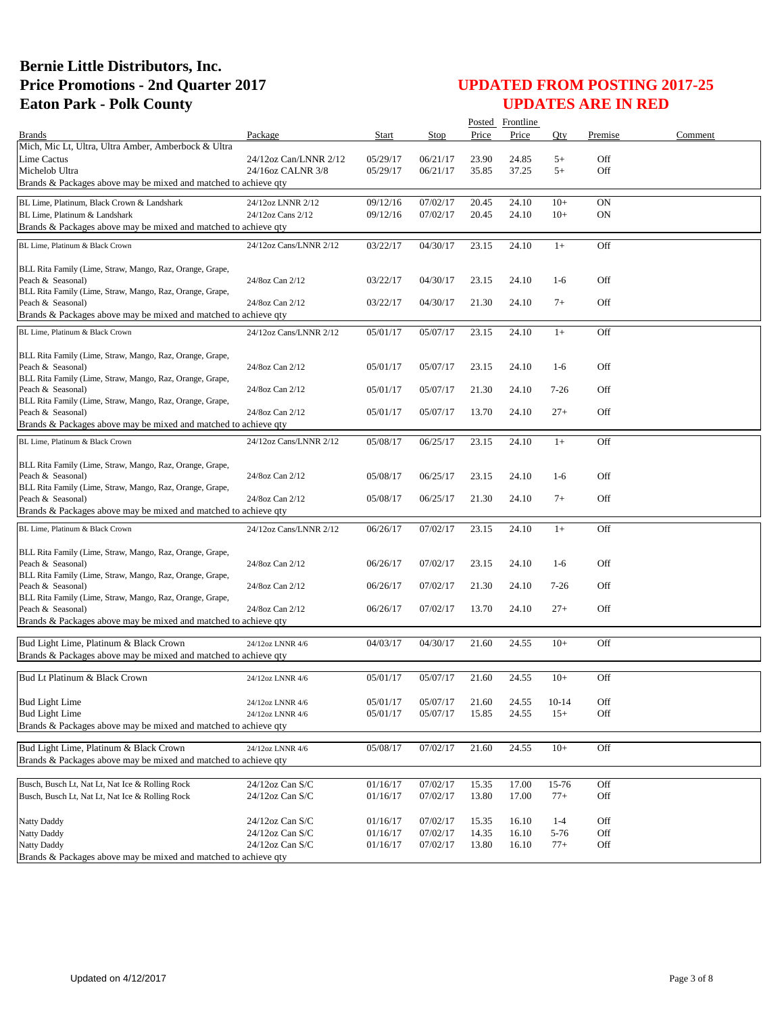|                                                                                                           |                        |          |          |       | Posted Frontline |          |         |         |
|-----------------------------------------------------------------------------------------------------------|------------------------|----------|----------|-------|------------------|----------|---------|---------|
| <b>Brands</b>                                                                                             | Package                | Start    | Stop     | Price | Price            | Oty      | Premise | Comment |
| Mich, Mic Lt, Ultra, Ultra Amber, Amberbock & Ultra                                                       |                        |          |          |       |                  |          |         |         |
| Lime Cactus                                                                                               | 24/12oz Can/LNNR 2/12  | 05/29/17 | 06/21/17 | 23.90 | 24.85            | $5+$     | Off     |         |
| Michelob Ultra                                                                                            | 24/16oz CALNR 3/8      | 05/29/17 | 06/21/17 | 35.85 | 37.25            | $5+$     | Off     |         |
| Brands & Packages above may be mixed and matched to achieve qty                                           |                        |          |          |       |                  |          |         |         |
| BL Lime, Platinum, Black Crown & Landshark                                                                | 24/12oz LNNR 2/12      | 09/12/16 | 07/02/17 | 20.45 | 24.10            | $10+$    | ON      |         |
| BL Lime, Platinum & Landshark                                                                             | 24/12oz Cans 2/12      | 09/12/16 | 07/02/17 | 20.45 | 24.10            | $10+$    | ON      |         |
| Brands & Packages above may be mixed and matched to achieve qty                                           |                        |          |          |       |                  |          |         |         |
|                                                                                                           |                        |          |          |       |                  |          |         |         |
| BL Lime, Platinum & Black Crown                                                                           | 24/12oz Cans/LNNR 2/12 | 03/22/17 | 04/30/17 | 23.15 | 24.10            | $1+$     | Off     |         |
|                                                                                                           |                        |          |          |       |                  |          |         |         |
| BLL Rita Family (Lime, Straw, Mango, Raz, Orange, Grape,<br>Peach & Seasonal)                             | 24/8oz Can 2/12        | 03/22/17 | 04/30/17 | 23.15 | 24.10            | $1-6$    | Off     |         |
| BLL Rita Family (Lime, Straw, Mango, Raz, Orange, Grape,                                                  |                        |          |          |       |                  |          |         |         |
| Peach & Seasonal)                                                                                         | 24/8oz Can 2/12        | 03/22/17 | 04/30/17 | 21.30 | 24.10            | $7+$     | Off     |         |
| Brands & Packages above may be mixed and matched to achieve qty                                           |                        |          |          |       |                  |          |         |         |
|                                                                                                           |                        |          |          |       |                  |          |         |         |
| BL Lime, Platinum & Black Crown                                                                           | 24/12oz Cans/LNNR 2/12 | 05/01/17 | 05/07/17 | 23.15 | 24.10            | $1+$     | Off     |         |
| BLL Rita Family (Lime, Straw, Mango, Raz, Orange, Grape,                                                  |                        |          |          |       |                  |          |         |         |
| Peach & Seasonal)                                                                                         | 24/8oz Can 2/12        | 05/01/17 | 05/07/17 | 23.15 | 24.10            | $1-6$    | Off     |         |
| BLL Rita Family (Lime, Straw, Mango, Raz, Orange, Grape,                                                  |                        |          |          |       |                  |          |         |         |
| Peach & Seasonal)                                                                                         | 24/8oz Can 2/12        | 05/01/17 | 05/07/17 | 21.30 | 24.10            | $7 - 26$ | Off     |         |
| BLL Rita Family (Lime, Straw, Mango, Raz, Orange, Grape,                                                  |                        |          |          |       |                  |          |         |         |
| Peach & Seasonal)                                                                                         | 24/8oz Can 2/12        | 05/01/17 | 05/07/17 | 13.70 | 24.10            | $27+$    | Off     |         |
| Brands & Packages above may be mixed and matched to achieve qty                                           |                        |          |          |       |                  |          |         |         |
| BL Lime. Platinum & Black Crown                                                                           | 24/12oz Cans/LNNR 2/12 | 05/08/17 | 06/25/17 | 23.15 | 24.10            | $1+$     | Off     |         |
|                                                                                                           |                        |          |          |       |                  |          |         |         |
| BLL Rita Family (Lime, Straw, Mango, Raz, Orange, Grape,                                                  |                        |          |          |       |                  |          |         |         |
| Peach & Seasonal)                                                                                         | 24/8oz Can 2/12        | 05/08/17 | 06/25/17 | 23.15 | 24.10            | $1-6$    | Off     |         |
| BLL Rita Family (Lime, Straw, Mango, Raz, Orange, Grape,                                                  |                        |          |          |       |                  |          |         |         |
| Peach & Seasonal)                                                                                         | 24/8oz Can 2/12        | 05/08/17 | 06/25/17 | 21.30 | 24.10            | $7+$     | Off     |         |
| Brands & Packages above may be mixed and matched to achieve qty                                           |                        |          |          |       |                  |          |         |         |
| BL Lime, Platinum & Black Crown                                                                           | 24/12oz Cans/LNNR 2/12 | 06/26/17 | 07/02/17 | 23.15 | 24.10            | $1+$     | Off     |         |
|                                                                                                           |                        |          |          |       |                  |          |         |         |
| BLL Rita Family (Lime, Straw, Mango, Raz, Orange, Grape,                                                  |                        |          |          |       |                  |          |         |         |
| Peach & Seasonal)                                                                                         | 24/8oz Can 2/12        | 06/26/17 | 07/02/17 | 23.15 | 24.10            | $1-6$    | Off     |         |
| BLL Rita Family (Lime, Straw, Mango, Raz, Orange, Grape,                                                  |                        |          |          |       |                  |          |         |         |
| Peach & Seasonal)                                                                                         | 24/8oz Can 2/12        | 06/26/17 | 07/02/17 | 21.30 | 24.10            | $7 - 26$ | Off     |         |
| BLL Rita Family (Lime, Straw, Mango, Raz, Orange, Grape,                                                  |                        |          |          |       |                  |          |         |         |
| Peach & Seasonal)                                                                                         | 24/8oz Can 2/12        | 06/26/17 | 07/02/17 | 13.70 | 24.10            | $27+$    | Off     |         |
| Brands & Packages above may be mixed and matched to achieve qty                                           |                        |          |          |       |                  |          |         |         |
| Bud Light Lime, Platinum & Black Crown                                                                    | 24/12oz LNNR 4/6       | 04/03/17 | 04/30/17 | 21.60 | 24.55            | $10+$    | Off     |         |
| Brands & Packages above may be mixed and matched to achieve qty                                           |                        |          |          |       |                  |          |         |         |
|                                                                                                           |                        |          |          |       |                  |          |         |         |
| Bud Lt Platinum & Black Crown                                                                             | 24/12oz LNNR 4/6       | 05/01/17 | 05/07/17 | 21.60 | 24.55            | $10+$    | Off     |         |
|                                                                                                           |                        |          |          |       |                  |          |         |         |
| <b>Bud Light Lime</b>                                                                                     | 24/12oz LNNR 4/6       | 05/01/17 | 05/07/17 | 21.60 | 24.55            | $10-14$  | Off     |         |
| <b>Bud Light Lime</b>                                                                                     | 24/12oz LNNR 4/6       | 05/01/17 | 05/07/17 | 15.85 | 24.55            | $15+$    | Off     |         |
| Brands & Packages above may be mixed and matched to achieve qty                                           |                        |          |          |       |                  |          |         |         |
|                                                                                                           |                        |          |          |       |                  |          |         |         |
| Bud Light Lime, Platinum & Black Crown<br>Brands & Packages above may be mixed and matched to achieve gty | 24/12oz LNNR 4/6       | 05/08/17 | 07/02/17 | 21.60 | 24.55            | $10+$    | Off     |         |
|                                                                                                           |                        |          |          |       |                  |          |         |         |
| Busch, Busch Lt, Nat Lt, Nat Ice & Rolling Rock                                                           | 24/12oz Can S/C        | 01/16/17 | 07/02/17 | 15.35 | 17.00            | 15-76    | Off     |         |
| Busch, Busch Lt, Nat Lt, Nat Ice & Rolling Rock                                                           | 24/12oz Can S/C        | 01/16/17 | 07/02/17 | 13.80 | 17.00            | $77+$    | Off     |         |
|                                                                                                           |                        |          |          |       |                  |          |         |         |
| Natty Daddy                                                                                               | 24/12oz Can S/C        | 01/16/17 | 07/02/17 | 15.35 | 16.10            | $1 - 4$  | Off     |         |
| <b>Natty Daddy</b>                                                                                        | 24/12oz Can S/C        | 01/16/17 | 07/02/17 | 14.35 | 16.10            | 5-76     | Off     |         |
| Natty Daddy                                                                                               | 24/12oz Can S/C        | 01/16/17 | 07/02/17 | 13.80 | 16.10            | $77+$    | Off     |         |
| Brands & Packages above may be mixed and matched to achieve qty                                           |                        |          |          |       |                  |          |         |         |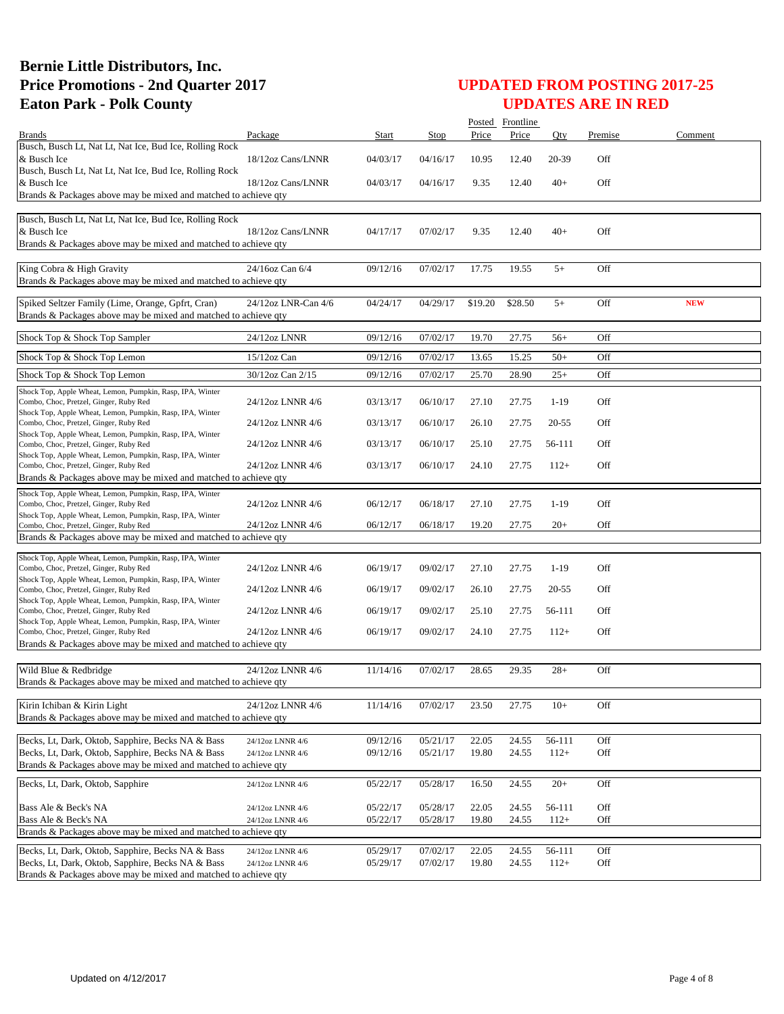|                                                                                                                      |                     |          |          |         | Posted Frontline   |           |         |            |
|----------------------------------------------------------------------------------------------------------------------|---------------------|----------|----------|---------|--------------------|-----------|---------|------------|
| <b>Brands</b>                                                                                                        | Package             | Start    | Stop     | Price   | Price              | Oty       | Premise | Comment    |
| Busch, Busch Lt, Nat Lt, Nat Ice, Bud Ice, Rolling Rock<br>& Busch Ice                                               | 18/12oz Cans/LNNR   | 04/03/17 | 04/16/17 | 10.95   | 12.40              | 20-39     | Off     |            |
| Busch, Busch Lt, Nat Lt, Nat Ice, Bud Ice, Rolling Rock<br>& Busch Ice                                               | 18/12oz Cans/LNNR   | 04/03/17 | 04/16/17 | 9.35    | 12.40              | $40+$     | Off     |            |
| Brands & Packages above may be mixed and matched to achieve qty                                                      |                     |          |          |         |                    |           |         |            |
|                                                                                                                      |                     |          |          |         |                    |           |         |            |
| Busch, Busch Lt, Nat Lt, Nat Ice, Bud Ice, Rolling Rock<br>& Busch Ice                                               | 18/12oz Cans/LNNR   | 04/17/17 | 07/02/17 | 9.35    | 12.40              | $40+$     | Off     |            |
| Brands & Packages above may be mixed and matched to achieve qty                                                      |                     |          |          |         |                    |           |         |            |
|                                                                                                                      |                     |          |          |         |                    |           |         |            |
| King Cobra & High Gravity<br>Brands & Packages above may be mixed and matched to achieve qty                         | 24/16oz Can 6/4     | 09/12/16 | 07/02/17 | 17.75   | 19.55              | $5+$      | Off     |            |
| Spiked Seltzer Family (Lime, Orange, Gpfrt, Cran)                                                                    | 24/12oz LNR-Can 4/6 | 04/24/17 | 04/29/17 | \$19.20 | \$28.50            | $5+$      | Off     | <b>NEW</b> |
| Brands & Packages above may be mixed and matched to achieve qty                                                      |                     |          |          |         |                    |           |         |            |
|                                                                                                                      |                     |          |          |         |                    |           |         |            |
| Shock Top & Shock Top Sampler                                                                                        | 24/12oz LNNR        | 09/12/16 | 07/02/17 | 19.70   | 27.75              | $56+$     | Off     |            |
| Shock Top & Shock Top Lemon                                                                                          | 15/12oz Can         | 09/12/16 | 07/02/17 | 13.65   | 15.25              | $50+$     | Off     |            |
| Shock Top & Shock Top Lemon                                                                                          | 30/12oz Can 2/15    | 09/12/16 | 07/02/17 | 25.70   | 28.90              | $25+$     | Off     |            |
| Shock Top, Apple Wheat, Lemon, Pumpkin, Rasp, IPA, Winter                                                            |                     |          |          |         |                    |           |         |            |
| Combo, Choc, Pretzel, Ginger, Ruby Red                                                                               | 24/12oz LNNR 4/6    | 03/13/17 | 06/10/17 | 27.10   | 27.75              | $1-19$    | Off     |            |
| Shock Top, Apple Wheat, Lemon, Pumpkin, Rasp, IPA, Winter<br>Combo, Choc, Pretzel, Ginger, Ruby Red                  | 24/12oz LNNR 4/6    | 03/13/17 | 06/10/17 | 26.10   | 27.75              | $20 - 55$ | Off     |            |
| Shock Top, Apple Wheat, Lemon, Pumpkin, Rasp, IPA, Winter                                                            |                     |          |          |         |                    |           |         |            |
| Combo, Choc, Pretzel, Ginger, Ruby Red<br>Shock Top, Apple Wheat, Lemon, Pumpkin, Rasp, IPA, Winter                  | 24/12oz LNNR 4/6    | 03/13/17 | 06/10/17 | 25.10   | 27.75              | 56-111    | Off     |            |
| Combo, Choc, Pretzel, Ginger, Ruby Red                                                                               | 24/12oz LNNR 4/6    | 03/13/17 | 06/10/17 | 24.10   | 27.75              | $112+$    | Off     |            |
| Brands & Packages above may be mixed and matched to achieve qty                                                      |                     |          |          |         |                    |           |         |            |
| Shock Top, Apple Wheat, Lemon, Pumpkin, Rasp, IPA, Winter                                                            |                     |          |          |         |                    |           |         |            |
| Combo, Choc, Pretzel, Ginger, Ruby Red                                                                               | 24/12oz LNNR 4/6    | 06/12/17 | 06/18/17 | 27.10   | 27.75              | $1 - 19$  | Off     |            |
| Shock Top, Apple Wheat, Lemon, Pumpkin, Rasp, IPA, Winter<br>Combo, Choc, Pretzel, Ginger, Ruby Red                  | 24/12oz LNNR 4/6    | 06/12/17 | 06/18/17 | 19.20   | 27.75              | $20+$     | Off     |            |
| Brands & Packages above may be mixed and matched to achieve qty                                                      |                     |          |          |         |                    |           |         |            |
| Shock Top, Apple Wheat, Lemon, Pumpkin, Rasp, IPA, Winter                                                            |                     |          |          |         |                    |           |         |            |
| Combo, Choc, Pretzel, Ginger, Ruby Red                                                                               | 24/12oz LNNR 4/6    | 06/19/17 | 09/02/17 | 27.10   | 27.75              | $1-19$    | Off     |            |
| Shock Top, Apple Wheat, Lemon, Pumpkin, Rasp, IPA, Winter                                                            |                     |          |          |         |                    |           |         |            |
| Combo, Choc, Pretzel, Ginger, Ruby Red<br>Shock Top, Apple Wheat, Lemon, Pumpkin, Rasp, IPA, Winter                  | 24/12oz LNNR 4/6    | 06/19/17 | 09/02/17 | 26.10   | 27.75              | $20 - 55$ | Off     |            |
| Combo, Choc, Pretzel, Ginger, Ruby Red                                                                               | 24/12oz LNNR 4/6    | 06/19/17 | 09/02/17 | 25.10   | 27.75              | 56-111    | Off     |            |
| Shock Top, Apple Wheat, Lemon, Pumpkin, Rasp, IPA, Winter<br>Combo, Choc, Pretzel, Ginger, Ruby Red                  | 24/12oz LNNR 4/6    | 06/19/17 | 09/02/17 | 24.10   | 27.75              | $112+$    | Off     |            |
| Brands & Packages above may be mixed and matched to achieve qty                                                      |                     |          |          |         |                    |           |         |            |
|                                                                                                                      |                     |          |          |         |                    |           |         |            |
| Wild Blue & Redbridge                                                                                                | 24/12oz LNNR 4/6    | 11/14/16 | 07/02/17 | 28.65   | 29.35              | $28+$     | Off     |            |
| Brands & Packages above may be mixed and matched to achieve qty                                                      |                     |          |          |         |                    |           |         |            |
| Kirin Ichiban & Kirin Light                                                                                          | 24/12oz LNNR 4/6    | 11/14/16 | 07/02/17 | 23.50   | 27.75              | $10+$     | Off     |            |
| Brands & Packages above may be mixed and matched to achieve qty                                                      |                     |          |          |         |                    |           |         |            |
|                                                                                                                      |                     |          |          |         |                    |           |         |            |
| Becks, Lt, Dark, Oktob, Sapphire, Becks NA & Bass                                                                    | 24/12oz LNNR 4/6    | 09/12/16 | 05/21/17 | 22.05   | 24.55              | 56-111    | Off     |            |
| Becks, Lt, Dark, Oktob, Sapphire, Becks NA & Bass<br>Brands & Packages above may be mixed and matched to achieve qty | 24/12oz LNNR 4/6    | 09/12/16 | 05/21/17 | 19.80   | 24.55              | $112+$    | Off     |            |
|                                                                                                                      |                     |          |          |         |                    |           |         |            |
| Becks, Lt, Dark, Oktob, Sapphire                                                                                     | 24/12oz LNNR 4/6    | 05/22/17 | 05/28/17 | 16.50   | $\overline{24.55}$ | $20+$     | Off     |            |
| Bass Ale & Beck's NA                                                                                                 | 24/12oz LNNR 4/6    | 05/22/17 | 05/28/17 | 22.05   | 24.55              | 56-111    | Off     |            |
| Bass Ale & Beck's NA                                                                                                 | 24/12oz LNNR 4/6    | 05/22/17 | 05/28/17 | 19.80   | 24.55              | $112+$    | Off     |            |
| Brands & Packages above may be mixed and matched to achieve qty                                                      |                     |          |          |         |                    |           |         |            |
| Becks, Lt, Dark, Oktob, Sapphire, Becks NA & Bass                                                                    | 24/12oz LNNR 4/6    | 05/29/17 | 07/02/17 | 22.05   | 24.55              | 56-111    | Off     |            |
| Becks, Lt, Dark, Oktob, Sapphire, Becks NA & Bass                                                                    | 24/12oz LNNR 4/6    | 05/29/17 | 07/02/17 | 19.80   | 24.55              | $112+$    | Off     |            |
| Brands & Packages above may be mixed and matched to achieve qty                                                      |                     |          |          |         |                    |           |         |            |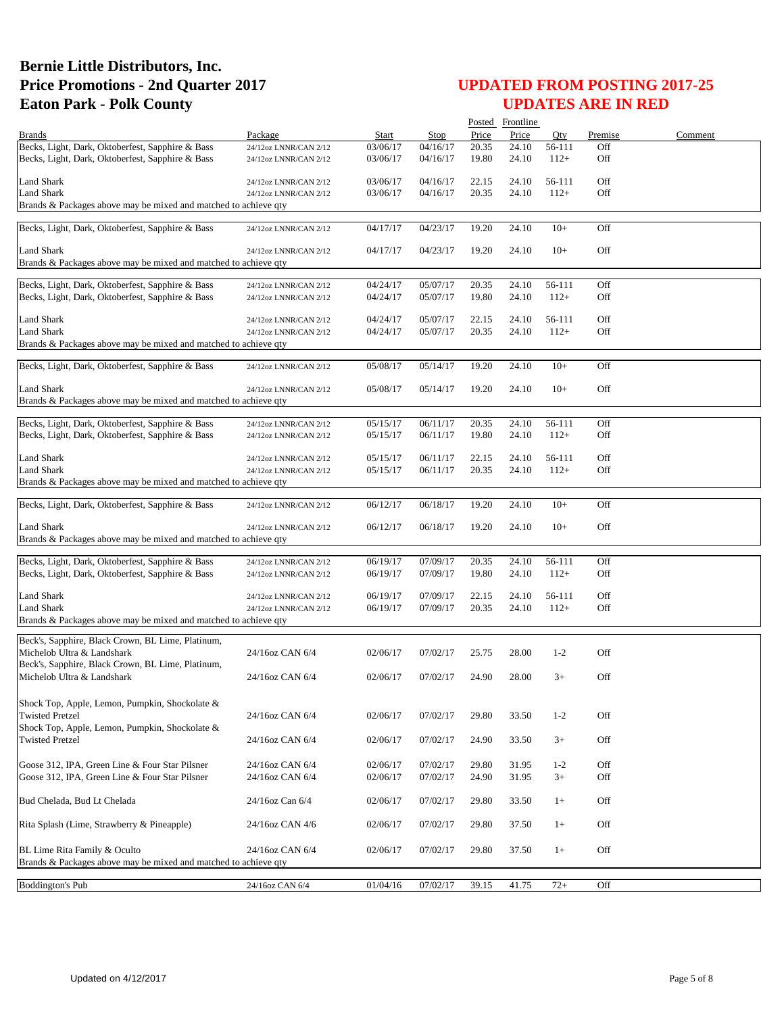|                                                                          |                       |          |          |       | Posted Frontline |         |         |         |
|--------------------------------------------------------------------------|-----------------------|----------|----------|-------|------------------|---------|---------|---------|
| <b>Brands</b>                                                            | Package               | Start    | Stop     | Price | Price            | Oty     | Premise | Comment |
| Becks, Light, Dark, Oktoberfest, Sapphire & Bass                         | 24/12oz LNNR/CAN 2/12 | 03/06/17 | 04/16/17 | 20.35 | 24.10            | 56-111  | Off     |         |
| Becks, Light, Dark, Oktoberfest, Sapphire & Bass                         | 24/12oz LNNR/CAN 2/12 | 03/06/17 | 04/16/17 | 19.80 | 24.10            | $112+$  | Off     |         |
| <b>Land Shark</b>                                                        | 24/12oz LNNR/CAN 2/12 | 03/06/17 | 04/16/17 | 22.15 | 24.10            | 56-111  | Off     |         |
| <b>Land Shark</b>                                                        | 24/12oz LNNR/CAN 2/12 | 03/06/17 | 04/16/17 | 20.35 | 24.10            | $112+$  | Off     |         |
| Brands & Packages above may be mixed and matched to achieve qty          |                       |          |          |       |                  |         |         |         |
| Becks, Light, Dark, Oktoberfest, Sapphire & Bass                         | 24/12oz LNNR/CAN 2/12 | 04/17/17 | 04/23/17 | 19.20 | 24.10            | $10+$   | Off     |         |
|                                                                          |                       |          |          |       |                  |         |         |         |
| Land Shark                                                               | 24/12oz LNNR/CAN 2/12 | 04/17/17 | 04/23/17 | 19.20 | 24.10            | $10+$   | Off     |         |
| Brands & Packages above may be mixed and matched to achieve qty          |                       |          |          |       |                  |         |         |         |
| Becks, Light, Dark, Oktoberfest, Sapphire & Bass                         | 24/12oz LNNR/CAN 2/12 | 04/24/17 | 05/07/17 | 20.35 | 24.10            | 56-111  | Off     |         |
| Becks, Light, Dark, Oktoberfest, Sapphire & Bass                         | 24/12oz LNNR/CAN 2/12 | 04/24/17 | 05/07/17 | 19.80 | 24.10            | $112+$  | Off     |         |
|                                                                          |                       |          |          |       |                  |         |         |         |
| <b>Land Shark</b>                                                        | 24/12oz LNNR/CAN 2/12 | 04/24/17 | 05/07/17 | 22.15 | 24.10            | 56-111  | Off     |         |
| <b>Land Shark</b>                                                        | 24/12oz LNNR/CAN 2/12 | 04/24/17 | 05/07/17 | 20.35 | 24.10            | $112+$  | Off     |         |
| Brands & Packages above may be mixed and matched to achieve qty          |                       |          |          |       |                  |         |         |         |
| Becks, Light, Dark, Oktoberfest, Sapphire & Bass                         | 24/12oz LNNR/CAN 2/12 | 05/08/17 | 05/14/17 | 19.20 | 24.10            | $10+$   | Off     |         |
|                                                                          |                       |          |          |       |                  |         |         |         |
| Land Shark                                                               | 24/12oz LNNR/CAN 2/12 | 05/08/17 | 05/14/17 | 19.20 | 24.10            | $10+$   | Off     |         |
| Brands & Packages above may be mixed and matched to achieve gty          |                       |          |          |       |                  |         |         |         |
| Becks, Light, Dark, Oktoberfest, Sapphire & Bass                         | 24/12oz LNNR/CAN 2/12 | 05/15/17 | 06/11/17 | 20.35 | 24.10            | 56-111  | Off     |         |
| Becks, Light, Dark, Oktoberfest, Sapphire & Bass                         | 24/12oz LNNR/CAN 2/12 | 05/15/17 | 06/11/17 | 19.80 | 24.10            | $112+$  | Off     |         |
|                                                                          |                       |          |          |       |                  |         |         |         |
| Land Shark                                                               | 24/12oz LNNR/CAN 2/12 | 05/15/17 | 06/11/17 | 22.15 | 24.10            | 56-111  | Off     |         |
| <b>Land Shark</b>                                                        | 24/12oz LNNR/CAN 2/12 | 05/15/17 | 06/11/17 | 20.35 | 24.10            | $112+$  | Off     |         |
| Brands & Packages above may be mixed and matched to achieve qty          |                       |          |          |       |                  |         |         |         |
| Becks, Light, Dark, Oktoberfest, Sapphire & Bass                         | 24/12oz LNNR/CAN 2/12 | 06/12/17 | 06/18/17 | 19.20 | 24.10            | $10+$   | Off     |         |
|                                                                          |                       |          |          |       |                  |         |         |         |
| Land Shark                                                               | 24/12oz LNNR/CAN 2/12 | 06/12/17 | 06/18/17 | 19.20 | 24.10            | $10+$   | Off     |         |
| Brands & Packages above may be mixed and matched to achieve qty          |                       |          |          |       |                  |         |         |         |
| Becks, Light, Dark, Oktoberfest, Sapphire & Bass                         | 24/12oz LNNR/CAN 2/12 | 06/19/17 | 07/09/17 | 20.35 | 24.10            | 56-111  | Off     |         |
| Becks, Light, Dark, Oktoberfest, Sapphire & Bass                         | 24/12oz LNNR/CAN 2/12 | 06/19/17 | 07/09/17 | 19.80 | 24.10            | $112+$  | Off     |         |
|                                                                          |                       |          |          |       |                  |         |         |         |
| <b>Land Shark</b>                                                        | 24/12oz LNNR/CAN 2/12 | 06/19/17 | 07/09/17 | 22.15 | 24.10            | 56-111  | Off     |         |
| <b>Land Shark</b>                                                        | 24/12oz LNNR/CAN 2/12 | 06/19/17 | 07/09/17 | 20.35 | 24.10            | $112+$  | Off     |         |
| Brands & Packages above may be mixed and matched to achieve qty          |                       |          |          |       |                  |         |         |         |
| Beck's, Sapphire, Black Crown, BL Lime, Platinum,                        |                       |          |          |       |                  |         |         |         |
| Michelob Ultra & Landshark                                               | 24/16oz CAN 6/4       | 02/06/17 | 07/02/17 | 25.75 | 28.00            | $1-2$   | Off     |         |
| Beck's, Sapphire, Black Crown, BL Lime, Platinum,                        |                       |          |          |       |                  |         |         |         |
| Michelob Ultra & Landshark                                               | 24/16oz CAN 6/4       | 02/06/17 | 07/02/17 | 24.90 | 28.00            | $3+$    | Off     |         |
|                                                                          |                       |          |          |       |                  |         |         |         |
| Shock Top, Apple, Lemon, Pumpkin, Shockolate &                           |                       |          |          |       |                  |         |         |         |
| <b>Twisted Pretzel</b>                                                   | 24/16oz CAN 6/4       | 02/06/17 | 07/02/17 | 29.80 | 33.50            | $1 - 2$ | Off     |         |
| Shock Top, Apple, Lemon, Pumpkin, Shockolate &<br><b>Twisted Pretzel</b> | 24/16oz CAN 6/4       | 02/06/17 | 07/02/17 | 24.90 | 33.50            | $3+$    | Off     |         |
|                                                                          |                       |          |          |       |                  |         |         |         |
| Goose 312, IPA, Green Line & Four Star Pilsner                           | 24/16oz CAN 6/4       | 02/06/17 | 07/02/17 | 29.80 | 31.95            | $1 - 2$ | Off     |         |
| Goose 312, IPA, Green Line & Four Star Pilsner                           | 24/16oz CAN 6/4       | 02/06/17 | 07/02/17 | 24.90 | 31.95            | $3+$    | Off     |         |
|                                                                          |                       |          |          |       |                  |         |         |         |
| Bud Chelada, Bud Lt Chelada                                              | 24/16oz Can 6/4       | 02/06/17 | 07/02/17 | 29.80 | 33.50            | $1+$    | Off     |         |
|                                                                          |                       |          |          |       |                  |         |         |         |
| Rita Splash (Lime, Strawberry & Pineapple)                               | 24/16oz CAN 4/6       | 02/06/17 | 07/02/17 | 29.80 | 37.50            | $1+$    | Off     |         |
| BL Lime Rita Family & Oculto                                             | 24/16oz CAN 6/4       | 02/06/17 | 07/02/17 | 29.80 | 37.50            | $1+$    | Off     |         |
| Brands & Packages above may be mixed and matched to achieve qty          |                       |          |          |       |                  |         |         |         |
|                                                                          |                       |          |          |       |                  |         |         |         |
| <b>Boddington's Pub</b>                                                  | 24/16oz CAN 6/4       | 01/04/16 | 07/02/17 | 39.15 | 41.75            | $72+$   | Off     |         |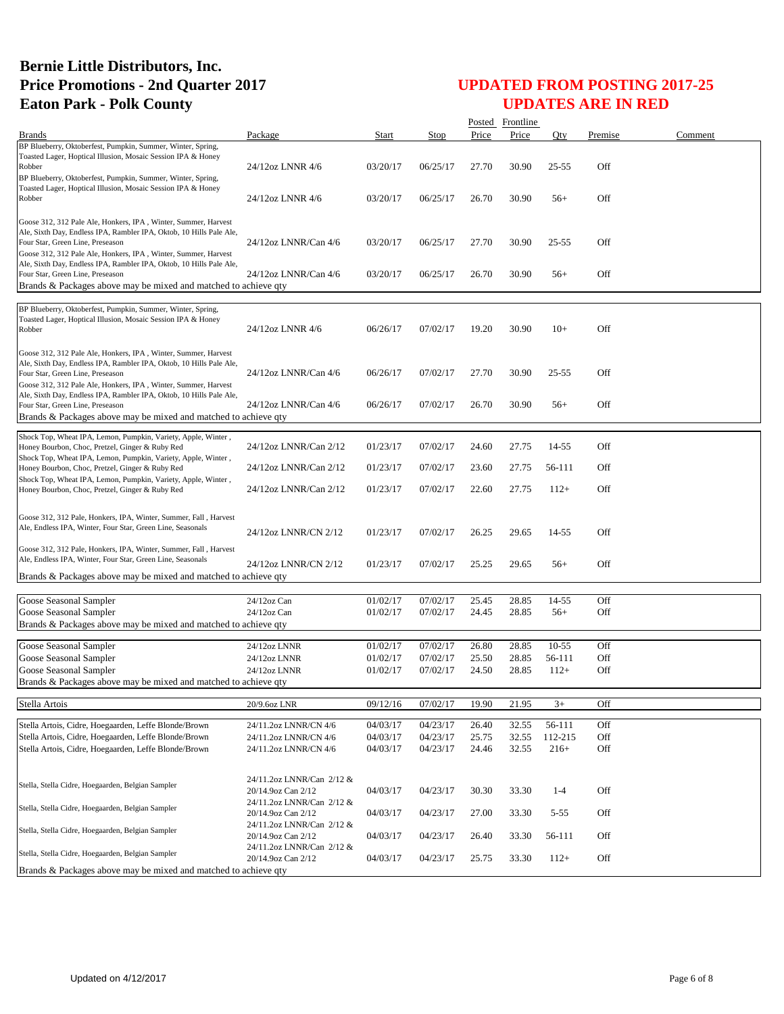|                                                                                                                                                                                                                                             |                                                                              |          |          |       | Posted Frontline |           |         |         |
|---------------------------------------------------------------------------------------------------------------------------------------------------------------------------------------------------------------------------------------------|------------------------------------------------------------------------------|----------|----------|-------|------------------|-----------|---------|---------|
| <b>Brands</b>                                                                                                                                                                                                                               | Package                                                                      | Start    | Stop     | Price | Price            | Oty       | Premise | Comment |
| BP Blueberry, Oktoberfest, Pumpkin, Summer, Winter, Spring,<br>Toasted Lager, Hoptical Illusion, Mosaic Session IPA & Honey<br>Robber<br>BP Blueberry, Oktoberfest, Pumpkin, Summer, Winter, Spring,                                        | 24/12oz LNNR 4/6                                                             | 03/20/17 | 06/25/17 | 27.70 | 30.90            | $25 - 55$ | Off     |         |
| Toasted Lager, Hoptical Illusion, Mosaic Session IPA & Honey<br>Robber                                                                                                                                                                      | 24/12oz LNNR 4/6                                                             | 03/20/17 | 06/25/17 | 26.70 | 30.90            | $56+$     | Off     |         |
| Goose 312, 312 Pale Ale, Honkers, IPA, Winter, Summer, Harvest<br>Ale, Sixth Day, Endless IPA, Rambler IPA, Oktob, 10 Hills Pale Ale,<br>Four Star, Green Line, Preseason<br>Goose 312, 312 Pale Ale, Honkers, IPA, Winter, Summer, Harvest | 24/12oz LNNR/Can 4/6                                                         | 03/20/17 | 06/25/17 | 27.70 | 30.90            | $25 - 55$ | Off     |         |
| Ale, Sixth Day, Endless IPA, Rambler IPA, Oktob, 10 Hills Pale Ale,<br>Four Star, Green Line, Preseason<br>Brands & Packages above may be mixed and matched to achieve qty                                                                  | 24/12oz LNNR/Can 4/6                                                         | 03/20/17 | 06/25/17 | 26.70 | 30.90            | $56+$     | Off     |         |
|                                                                                                                                                                                                                                             |                                                                              |          |          |       |                  |           |         |         |
| BP Blueberry, Oktoberfest, Pumpkin, Summer, Winter, Spring,<br>Toasted Lager, Hoptical Illusion, Mosaic Session IPA & Honey<br>Robber                                                                                                       | 24/12oz LNNR 4/6                                                             | 06/26/17 | 07/02/17 | 19.20 | 30.90            | $10+$     | Off     |         |
| Goose 312, 312 Pale Ale, Honkers, IPA, Winter, Summer, Harvest<br>Ale, Sixth Day, Endless IPA, Rambler IPA, Oktob, 10 Hills Pale Ale,<br>Four Star, Green Line, Preseason<br>Goose 312, 312 Pale Ale, Honkers, IPA, Winter, Summer, Harvest | 24/12oz LNNR/Can 4/6                                                         | 06/26/17 | 07/02/17 | 27.70 | 30.90            | $25 - 55$ | Off     |         |
| Ale, Sixth Day, Endless IPA, Rambler IPA, Oktob, 10 Hills Pale Ale,<br>Four Star, Green Line, Preseason<br>Brands & Packages above may be mixed and matched to achieve qty                                                                  | 24/12oz LNNR/Can 4/6                                                         | 06/26/17 | 07/02/17 | 26.70 | 30.90            | $56+$     | Off     |         |
| Shock Top, Wheat IPA, Lemon, Pumpkin, Variety, Apple, Winter,<br>Honey Bourbon, Choc, Pretzel, Ginger & Ruby Red                                                                                                                            | 24/12oz LNNR/Can 2/12                                                        | 01/23/17 | 07/02/17 | 24.60 | 27.75            | 14-55     | Off     |         |
| Shock Top, Wheat IPA, Lemon, Pumpkin, Variety, Apple, Winter,<br>Honey Bourbon, Choc, Pretzel, Ginger & Ruby Red<br>Shock Top, Wheat IPA, Lemon, Pumpkin, Variety, Apple, Winter,                                                           | 24/12oz LNNR/Can 2/12                                                        | 01/23/17 | 07/02/17 | 23.60 | 27.75            | 56-111    | Off     |         |
| Honey Bourbon, Choc, Pretzel, Ginger & Ruby Red                                                                                                                                                                                             | 24/12oz LNNR/Can 2/12                                                        | 01/23/17 | 07/02/17 | 22.60 | 27.75            | $112+$    | Off     |         |
| Goose 312, 312 Pale, Honkers, IPA, Winter, Summer, Fall, Harvest<br>Ale, Endless IPA, Winter, Four Star, Green Line, Seasonals                                                                                                              | 24/12oz LNNR/CN 2/12                                                         | 01/23/17 | 07/02/17 | 26.25 | 29.65            | 14-55     | Off     |         |
| Goose 312, 312 Pale, Honkers, IPA, Winter, Summer, Fall, Harvest<br>Ale, Endless IPA, Winter, Four Star, Green Line, Seasonals                                                                                                              | 24/12oz LNNR/CN 2/12                                                         | 01/23/17 | 07/02/17 | 25.25 | 29.65            | $56+$     | Off     |         |
| Brands & Packages above may be mixed and matched to achieve qty                                                                                                                                                                             |                                                                              |          |          |       |                  |           |         |         |
| Goose Seasonal Sampler                                                                                                                                                                                                                      | 24/12oz Can                                                                  | 01/02/17 | 07/02/17 | 25.45 | 28.85            | 14-55     | Off     |         |
| Goose Seasonal Sampler                                                                                                                                                                                                                      | $24/12$ oz Can                                                               | 01/02/17 | 07/02/17 | 24.45 | 28.85            | $56+$     | Off     |         |
| Brands & Packages above may be mixed and matched to achieve qty                                                                                                                                                                             |                                                                              |          |          |       |                  |           |         |         |
|                                                                                                                                                                                                                                             |                                                                              | 01/02/17 | 07/02/17 | 26.80 | 28.85            | $10-55$   | Off     |         |
| Goose Seasonal Sampler<br>Goose Seasonal Sampler                                                                                                                                                                                            | 24/12oz LNNR<br>24/12oz LNNR                                                 | 01/02/17 | 07/02/17 | 25.50 | 28.85            | 56-111    | Off     |         |
| Goose Seasonal Sampler                                                                                                                                                                                                                      | 24/12oz LNNR                                                                 | 01/02/17 | 07/02/17 | 24.50 | 28.85            | $112+$    | Off     |         |
| Brands & Packages above may be mixed and matched to achieve qty                                                                                                                                                                             |                                                                              |          |          |       |                  |           |         |         |
| Stella Artois                                                                                                                                                                                                                               | 20/9.6oz LNR                                                                 | 09/12/16 | 07/02/17 | 19.90 | 21.95            | $3+$      | Off     |         |
| Stella Artois, Cidre, Hoegaarden, Leffe Blonde/Brown                                                                                                                                                                                        | 24/11.2oz LNNR/CN 4/6                                                        | 04/03/17 | 04/23/17 | 26.40 | 32.55            | 56-111    | Off     |         |
| Stella Artois, Cidre, Hoegaarden, Leffe Blonde/Brown                                                                                                                                                                                        | 24/11.2oz LNNR/CN 4/6                                                        | 04/03/17 | 04/23/17 | 25.75 | 32.55            | 112-215   | Off     |         |
| Stella Artois, Cidre, Hoegaarden, Leffe Blonde/Brown                                                                                                                                                                                        | 24/11.2oz LNNR/CN 4/6                                                        | 04/03/17 | 04/23/17 | 24.46 | 32.55            | $216+$    | Off     |         |
|                                                                                                                                                                                                                                             |                                                                              |          |          |       |                  |           |         |         |
| Stella, Stella Cidre, Hoegaarden, Belgian Sampler                                                                                                                                                                                           | 24/11.2oz LNNR/Can 2/12 &<br>20/14.9oz Can 2/12                              | 04/03/17 | 04/23/17 | 30.30 | 33.30            | $1-4$     | Off     |         |
| Stella, Stella Cidre, Hoegaarden, Belgian Sampler                                                                                                                                                                                           | 24/11.2oz LNNR/Can 2/12 &<br>20/14.9oz Can 2/12                              | 04/03/17 | 04/23/17 | 27.00 | 33.30            | $5 - 55$  | Off     |         |
| Stella, Stella Cidre, Hoegaarden, Belgian Sampler                                                                                                                                                                                           | 24/11.2oz LNNR/Can 2/12 &<br>20/14.9oz Can 2/12<br>24/11.2oz LNNR/Can 2/12 & | 04/03/17 | 04/23/17 | 26.40 | 33.30            | 56-111    | Off     |         |
| Stella, Stella Cidre, Hoegaarden, Belgian Sampler                                                                                                                                                                                           | 20/14.9oz Can 2/12                                                           | 04/03/17 | 04/23/17 | 25.75 | 33.30            | $112+$    | Off     |         |
| Brands & Packages above may be mixed and matched to achieve qty                                                                                                                                                                             |                                                                              |          |          |       |                  |           |         |         |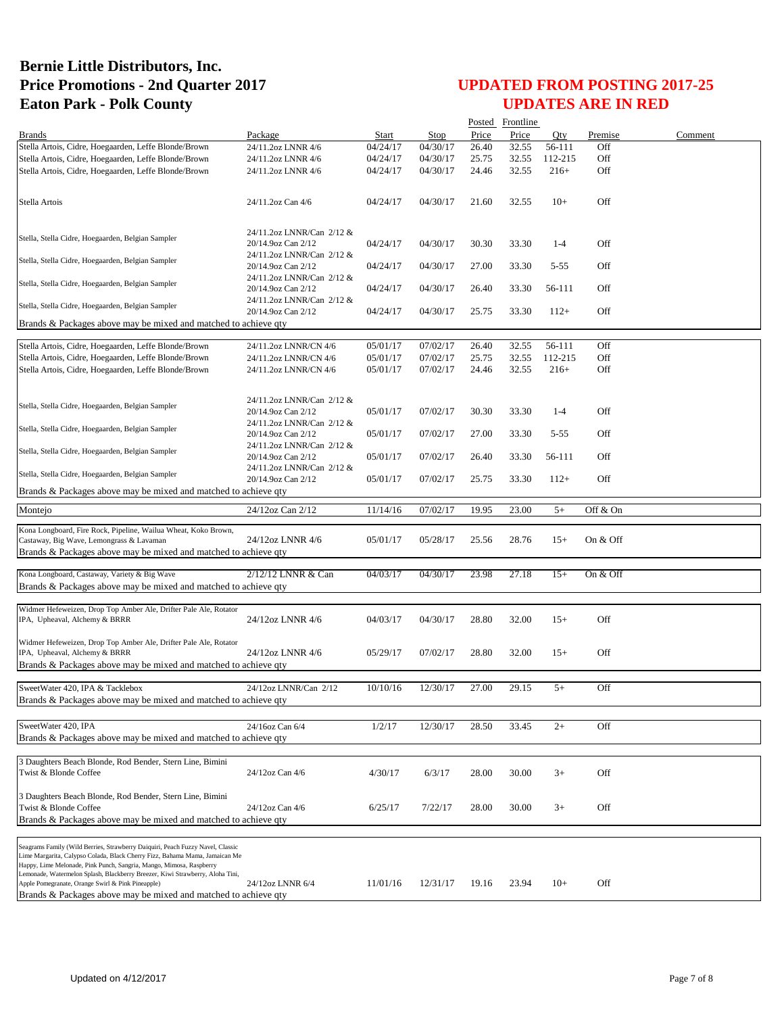|                                                                                                                                                                                                                                                                                                                                                                                                                                               |                                                                              |          |             |       | Posted Frontline |          |          |         |
|-----------------------------------------------------------------------------------------------------------------------------------------------------------------------------------------------------------------------------------------------------------------------------------------------------------------------------------------------------------------------------------------------------------------------------------------------|------------------------------------------------------------------------------|----------|-------------|-------|------------------|----------|----------|---------|
| <b>Brands</b>                                                                                                                                                                                                                                                                                                                                                                                                                                 | Package                                                                      | Start    | <b>Stop</b> | Price | Price            | Oty      | Premise  | Comment |
| Stella Artois, Cidre, Hoegaarden, Leffe Blonde/Brown                                                                                                                                                                                                                                                                                                                                                                                          | 24/11.2oz LNNR 4/6                                                           | 04/24/17 | 04/30/17    | 26.40 | 32.55            | 56-111   | Off      |         |
| Stella Artois, Cidre, Hoegaarden, Leffe Blonde/Brown                                                                                                                                                                                                                                                                                                                                                                                          | 24/11.2oz LNNR 4/6                                                           | 04/24/17 | 04/30/17    | 25.75 | 32.55            | 112-215  | Off      |         |
| Stella Artois, Cidre, Hoegaarden, Leffe Blonde/Brown                                                                                                                                                                                                                                                                                                                                                                                          | 24/11.2oz LNNR 4/6                                                           | 04/24/17 | 04/30/17    | 24.46 | 32.55            | $216+$   | Off      |         |
| Stella Artois                                                                                                                                                                                                                                                                                                                                                                                                                                 | 24/11.2oz Can 4/6                                                            | 04/24/17 | 04/30/17    | 21.60 | 32.55            | $10+$    | Off      |         |
| Stella, Stella Cidre, Hoegaarden, Belgian Sampler                                                                                                                                                                                                                                                                                                                                                                                             | 24/11.2oz LNNR/Can 2/12 &<br>20/14.9oz Can 2/12<br>24/11.2oz LNNR/Can 2/12 & | 04/24/17 | 04/30/17    | 30.30 | 33.30            | $1-4$    | Off      |         |
| Stella, Stella Cidre, Hoegaarden, Belgian Sampler                                                                                                                                                                                                                                                                                                                                                                                             | 20/14.9oz Can 2/12<br>24/11.2oz LNNR/Can 2/12 &                              | 04/24/17 | 04/30/17    | 27.00 | 33.30            | $5 - 55$ | Off      |         |
| Stella, Stella Cidre, Hoegaarden, Belgian Sampler                                                                                                                                                                                                                                                                                                                                                                                             | 20/14.9oz Can 2/12                                                           | 04/24/17 | 04/30/17    | 26.40 | 33.30            | 56-111   | Off      |         |
| Stella, Stella Cidre, Hoegaarden, Belgian Sampler                                                                                                                                                                                                                                                                                                                                                                                             | 24/11.2oz LNNR/Can 2/12 &<br>20/14.9oz Can 2/12                              | 04/24/17 | 04/30/17    | 25.75 | 33.30            | $112+$   | Off      |         |
| Brands & Packages above may be mixed and matched to achieve qty                                                                                                                                                                                                                                                                                                                                                                               |                                                                              |          |             |       |                  |          |          |         |
| Stella Artois, Cidre, Hoegaarden, Leffe Blonde/Brown                                                                                                                                                                                                                                                                                                                                                                                          | 24/11.2oz LNNR/CN 4/6                                                        | 05/01/17 | 07/02/17    | 26.40 | 32.55            | 56-111   | Off      |         |
| Stella Artois, Cidre, Hoegaarden, Leffe Blonde/Brown                                                                                                                                                                                                                                                                                                                                                                                          | 24/11.2oz LNNR/CN 4/6                                                        | 05/01/17 | 07/02/17    | 25.75 | 32.55            | 112-215  | Off      |         |
| Stella Artois, Cidre, Hoegaarden, Leffe Blonde/Brown                                                                                                                                                                                                                                                                                                                                                                                          | 24/11.2oz LNNR/CN 4/6                                                        | 05/01/17 | 07/02/17    | 24.46 | 32.55            | $216+$   | Off      |         |
|                                                                                                                                                                                                                                                                                                                                                                                                                                               |                                                                              |          |             |       |                  |          |          |         |
| Stella, Stella Cidre, Hoegaarden, Belgian Sampler                                                                                                                                                                                                                                                                                                                                                                                             | 24/11.2oz LNNR/Can 2/12 &<br>20/14.9oz Can 2/12<br>24/11.2oz LNNR/Can 2/12 & | 05/01/17 | 07/02/17    | 30.30 | 33.30            | $1-4$    | Off      |         |
| Stella, Stella Cidre, Hoegaarden, Belgian Sampler                                                                                                                                                                                                                                                                                                                                                                                             | 20/14.9oz Can 2/12                                                           | 05/01/17 | 07/02/17    | 27.00 | 33.30            | $5 - 55$ | Off      |         |
| Stella, Stella Cidre, Hoegaarden, Belgian Sampler                                                                                                                                                                                                                                                                                                                                                                                             | 24/11.2oz LNNR/Can 2/12 &<br>20/14.9oz Can 2/12                              | 05/01/17 | 07/02/17    | 26.40 | 33.30            | 56-111   | Off      |         |
| Stella, Stella Cidre, Hoegaarden, Belgian Sampler                                                                                                                                                                                                                                                                                                                                                                                             | 24/11.2oz LNNR/Can 2/12 &<br>20/14.9oz Can 2/12                              | 05/01/17 | 07/02/17    | 25.75 | 33.30            | $112+$   | Off      |         |
| Brands & Packages above may be mixed and matched to achieve qty                                                                                                                                                                                                                                                                                                                                                                               |                                                                              |          |             |       |                  |          |          |         |
| Montejo                                                                                                                                                                                                                                                                                                                                                                                                                                       | 24/12oz Can 2/12                                                             | 11/14/16 | 07/02/17    | 19.95 | 23.00            | $5+$     | Off & On |         |
|                                                                                                                                                                                                                                                                                                                                                                                                                                               |                                                                              |          |             |       |                  |          |          |         |
| Kona Longboard, Fire Rock, Pipeline, Wailua Wheat, Koko Brown,<br>Castaway, Big Wave, Lemongrass & Lavaman<br>Brands & Packages above may be mixed and matched to achieve qty                                                                                                                                                                                                                                                                 | 24/12oz LNNR 4/6                                                             | 05/01/17 | 05/28/17    | 25.56 | 28.76            | $15+$    | On & Off |         |
|                                                                                                                                                                                                                                                                                                                                                                                                                                               | 2/12/12 LNNR & Can                                                           | 04/03/17 | 04/30/17    | 23.98 |                  | $15+$    | On & Off |         |
| Kona Longboard, Castaway, Variety & Big Wave<br>Brands & Packages above may be mixed and matched to achieve qty                                                                                                                                                                                                                                                                                                                               |                                                                              |          |             |       | 27.18            |          |          |         |
|                                                                                                                                                                                                                                                                                                                                                                                                                                               |                                                                              |          |             |       |                  |          |          |         |
| Widmer Hefeweizen, Drop Top Amber Ale, Drifter Pale Ale, Rotator<br>IPA, Upheaval, Alchemy & BRRR                                                                                                                                                                                                                                                                                                                                             | 24/12oz LNNR 4/6                                                             | 04/03/17 | 04/30/17    | 28.80 | 32.00            | $15+$    | Off      |         |
| Widmer Hefeweizen, Drop Top Amber Ale, Drifter Pale Ale, Rotator<br>IPA, Upheaval, Alchemy & BRRR<br>Brands & Packages above may be mixed and matched to achieve qty                                                                                                                                                                                                                                                                          | 24/12oz LNNR 4/6                                                             | 05/29/17 | 07/02/17    | 28.80 | 32.00            | $15+$    | Off      |         |
| SweetWater 420, IPA & Tacklebox                                                                                                                                                                                                                                                                                                                                                                                                               | 24/12oz LNNR/Can 2/12                                                        | 10/10/16 | 12/30/17    | 27.00 | 29.15            | $5+$     | Off      |         |
| Brands & Packages above may be mixed and matched to achieve qty                                                                                                                                                                                                                                                                                                                                                                               |                                                                              |          |             |       |                  |          |          |         |
|                                                                                                                                                                                                                                                                                                                                                                                                                                               |                                                                              |          |             |       |                  |          |          |         |
| SweetWater 420, IPA<br>Brands & Packages above may be mixed and matched to achieve qty                                                                                                                                                                                                                                                                                                                                                        | 24/16oz Can 6/4                                                              | 1/2/17   | 12/30/17    | 28.50 | 33.45            | $2+$     | Off      |         |
|                                                                                                                                                                                                                                                                                                                                                                                                                                               |                                                                              |          |             |       |                  |          |          |         |
| 3 Daughters Beach Blonde, Rod Bender, Stern Line, Bimini<br>Twist & Blonde Coffee                                                                                                                                                                                                                                                                                                                                                             | 24/12oz Can 4/6                                                              | 4/30/17  | 6/3/17      | 28.00 | 30.00            | $3+$     | Off      |         |
| 3 Daughters Beach Blonde, Rod Bender, Stern Line, Bimini<br>Twist & Blonde Coffee<br>Brands & Packages above may be mixed and matched to achieve qty                                                                                                                                                                                                                                                                                          | 24/12oz Can 4/6                                                              | 6/25/17  | 7/22/17     | 28.00 | 30.00            | $3+$     | Off      |         |
|                                                                                                                                                                                                                                                                                                                                                                                                                                               |                                                                              |          |             |       |                  |          |          |         |
| Seagrams Family (Wild Berries, Strawberry Daiquiri, Peach Fuzzy Navel, Classic<br>Lime Margarita, Calypso Colada, Black Cherry Fizz, Bahama Mama, Jamaican Me<br>Happy, Lime Melonade, Pink Punch, Sangria, Mango, Mimosa, Raspberry<br>Lemonade, Watermelon Splash, Blackberry Breezer, Kiwi Strawberry, Aloha Tini,<br>Apple Pomegranate, Orange Swirl & Pink Pineapple)<br>Brands & Packages above may be mixed and matched to achieve qty | 24/12oz LNNR 6/4                                                             | 11/01/16 | 12/31/17    | 19.16 | 23.94            | $10+$    | Off      |         |